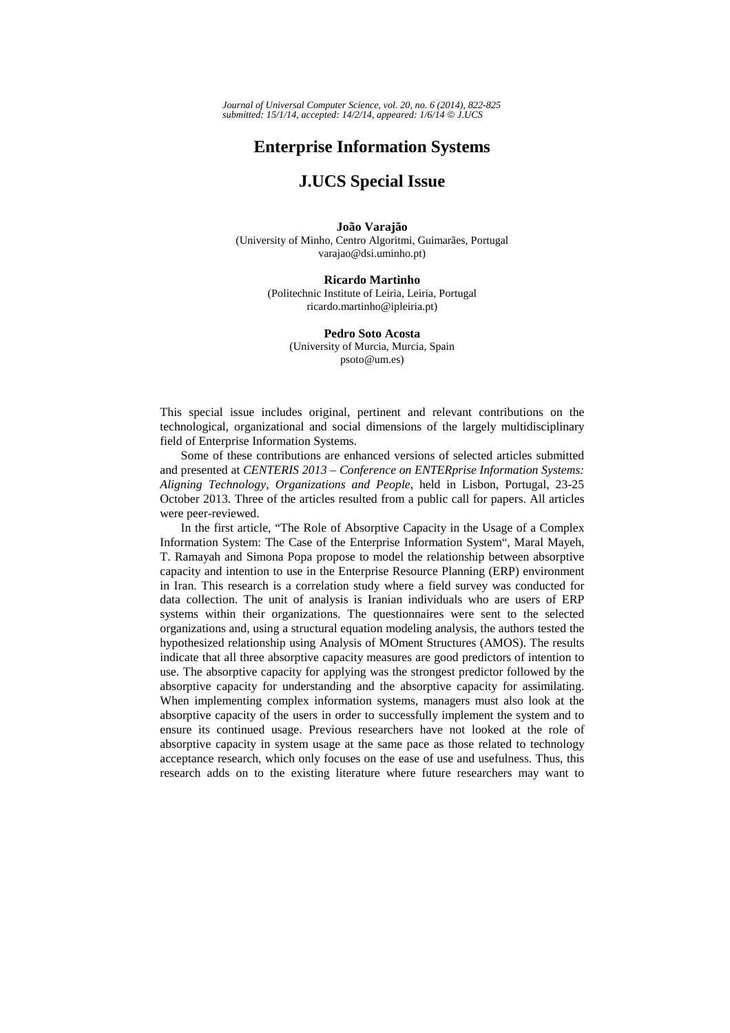## **Enterprise Information Systems**

## **J.UCS Special Issue**

## **João Varajão**  (University of Minho, Centro Algoritmi, Guimarães, Portugal varajao@dsi.uminho.pt)

**Ricardo Martinho**  (Politechnic Institute of Leiria, Leiria, Portugal ricardo.martinho@ipleiria.pt)

**Pedro Soto Acosta**  (University of Murcia, Murcia, Spain psoto@um.es)

This special issue includes original, pertinent and relevant contributions on the technological, organizational and social dimensions of the largely multidisciplinary field of Enterprise Information Systems.

Some of these contributions are enhanced versions of selected articles submitted and presented at *CENTERIS 2013 – Conference on ENTERprise Information Systems: Aligning Technology, Organizations and People*, held in Lisbon, Portugal, 23-25 October 2013. Three of the articles resulted from a public call for papers. All articles were peer-reviewed.

In the first article, "The Role of Absorptive Capacity in the Usage of a Complex Information System: The Case of the Enterprise Information System", Maral Mayeh, T. Ramayah and Simona Popa propose to model the relationship between absorptive capacity and intention to use in the Enterprise Resource Planning (ERP) environment in Iran. This research is a correlation study where a field survey was conducted for data collection. The unit of analysis is Iranian individuals who are users of ERP systems within their organizations. The questionnaires were sent to the selected organizations and, using a structural equation modeling analysis, the authors tested the hypothesized relationship using Analysis of MOment Structures (AMOS). The results indicate that all three absorptive capacity measures are good predictors of intention to use. The absorptive capacity for applying was the strongest predictor followed by the absorptive capacity for understanding and the absorptive capacity for assimilating. When implementing complex information systems, managers must also look at the absorptive capacity of the users in order to successfully implement the system and to ensure its continued usage. Previous researchers have not looked at the role of absorptive capacity in system usage at the same pace as those related to technology acceptance research, which only focuses on the ease of use and usefulness. Thus, this research adds on to the existing literature where future researchers may want to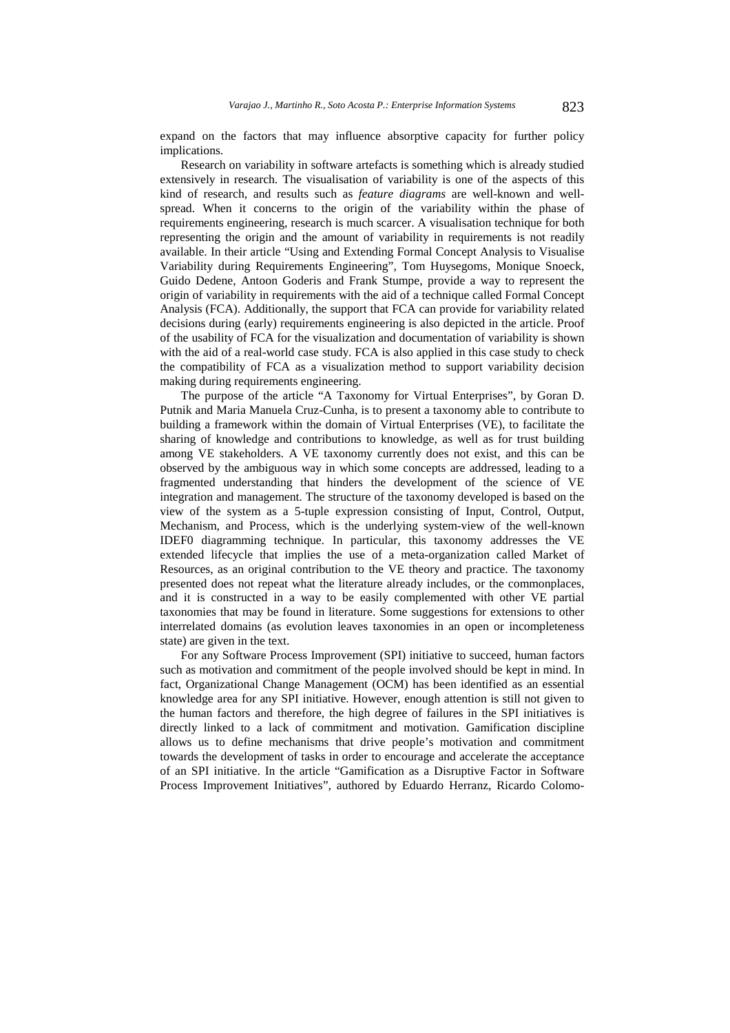expand on the factors that may influence absorptive capacity for further policy implications.

Research on variability in software artefacts is something which is already studied extensively in research. The visualisation of variability is one of the aspects of this kind of research, and results such as *feature diagrams* are well-known and wellspread. When it concerns to the origin of the variability within the phase of requirements engineering, research is much scarcer. A visualisation technique for both representing the origin and the amount of variability in requirements is not readily available. In their article "Using and Extending Formal Concept Analysis to Visualise Variability during Requirements Engineering", Tom Huysegoms, Monique Snoeck, Guido Dedene, Antoon Goderis and Frank Stumpe, provide a way to represent the origin of variability in requirements with the aid of a technique called Formal Concept Analysis (FCA). Additionally, the support that FCA can provide for variability related decisions during (early) requirements engineering is also depicted in the article. Proof of the usability of FCA for the visualization and documentation of variability is shown with the aid of a real-world case study. FCA is also applied in this case study to check the compatibility of FCA as a visualization method to support variability decision making during requirements engineering.

The purpose of the article "A Taxonomy for Virtual Enterprises", by Goran D. Putnik and Maria Manuela Cruz-Cunha, is to present a taxonomy able to contribute to building a framework within the domain of Virtual Enterprises (VE), to facilitate the sharing of knowledge and contributions to knowledge, as well as for trust building among VE stakeholders. A VE taxonomy currently does not exist, and this can be observed by the ambiguous way in which some concepts are addressed, leading to a fragmented understanding that hinders the development of the science of VE integration and management. The structure of the taxonomy developed is based on the view of the system as a 5-tuple expression consisting of Input, Control, Output, Mechanism, and Process, which is the underlying system-view of the well-known IDEF0 diagramming technique. In particular, this taxonomy addresses the VE extended lifecycle that implies the use of a meta-organization called Market of Resources, as an original contribution to the VE theory and practice. The taxonomy presented does not repeat what the literature already includes, or the commonplaces, and it is constructed in a way to be easily complemented with other VE partial taxonomies that may be found in literature. Some suggestions for extensions to other interrelated domains (as evolution leaves taxonomies in an open or incompleteness state) are given in the text.

For any Software Process Improvement (SPI) initiative to succeed, human factors such as motivation and commitment of the people involved should be kept in mind. In fact, Organizational Change Management (OCM) has been identified as an essential knowledge area for any SPI initiative. However, enough attention is still not given to the human factors and therefore, the high degree of failures in the SPI initiatives is directly linked to a lack of commitment and motivation. Gamification discipline allows us to define mechanisms that drive people's motivation and commitment towards the development of tasks in order to encourage and accelerate the acceptance of an SPI initiative. In the article "Gamification as a Disruptive Factor in Software Process Improvement Initiatives", authored by Eduardo Herranz, Ricardo Colomo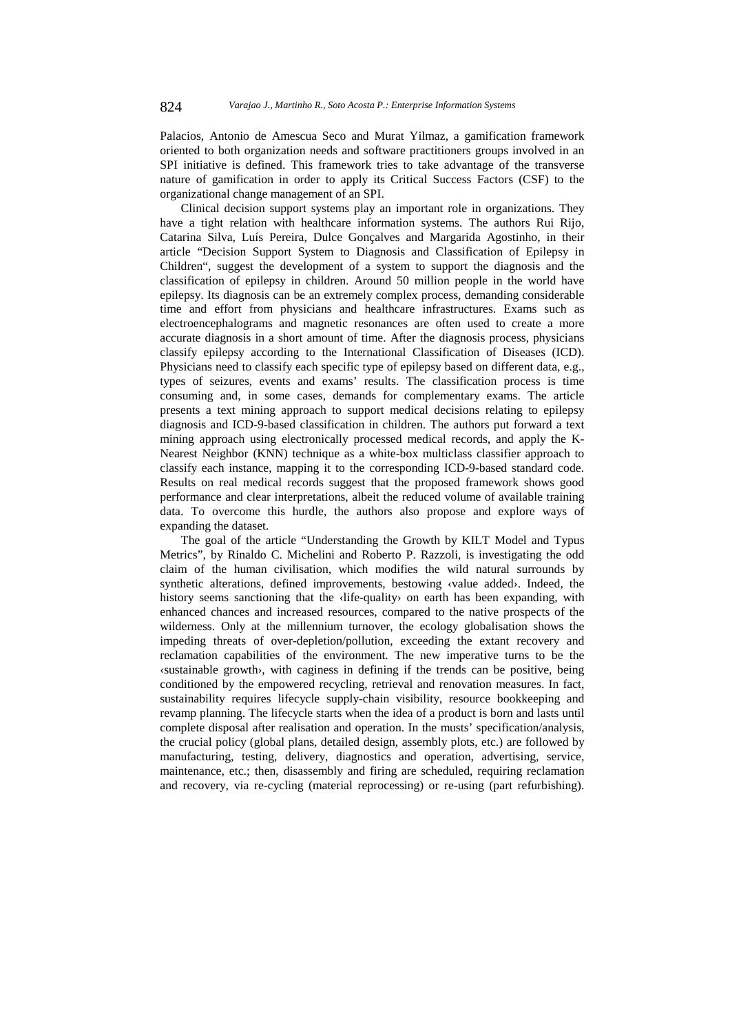Palacios, Antonio de Amescua Seco and Murat Yilmaz, a gamification framework oriented to both organization needs and software practitioners groups involved in an SPI initiative is defined. This framework tries to take advantage of the transverse nature of gamification in order to apply its Critical Success Factors (CSF) to the organizational change management of an SPI.

Clinical decision support systems play an important role in organizations. They have a tight relation with healthcare information systems. The authors Rui Rijo, Catarina Silva, Luís Pereira, Dulce Gonçalves and Margarida Agostinho, in their article "Decision Support System to Diagnosis and Classification of Epilepsy in Children", suggest the development of a system to support the diagnosis and the classification of epilepsy in children. Around 50 million people in the world have epilepsy. Its diagnosis can be an extremely complex process, demanding considerable time and effort from physicians and healthcare infrastructures. Exams such as electroencephalograms and magnetic resonances are often used to create a more accurate diagnosis in a short amount of time. After the diagnosis process, physicians classify epilepsy according to the International Classification of Diseases (ICD). Physicians need to classify each specific type of epilepsy based on different data, e.g., types of seizures, events and exams' results. The classification process is time consuming and, in some cases, demands for complementary exams. The article presents a text mining approach to support medical decisions relating to epilepsy diagnosis and ICD-9-based classification in children. The authors put forward a text mining approach using electronically processed medical records, and apply the K-Nearest Neighbor (KNN) technique as a white-box multiclass classifier approach to classify each instance, mapping it to the corresponding ICD-9-based standard code. Results on real medical records suggest that the proposed framework shows good performance and clear interpretations, albeit the reduced volume of available training data. To overcome this hurdle, the authors also propose and explore ways of expanding the dataset.

The goal of the article "Understanding the Growth by KILT Model and Typus Metrics", by Rinaldo C. Michelini and Roberto P. Razzoli, is investigating the odd claim of the human civilisation, which modifies the wild natural surrounds by synthetic alterations, defined improvements, bestowing ‹value added›. Indeed, the history seems sanctioning that the *dife-quality* on earth has been expanding, with enhanced chances and increased resources, compared to the native prospects of the wilderness. Only at the millennium turnover, the ecology globalisation shows the impeding threats of over-depletion/pollution, exceeding the extant recovery and reclamation capabilities of the environment. The new imperative turns to be the ‹sustainable growth›, with caginess in defining if the trends can be positive, being conditioned by the empowered recycling, retrieval and renovation measures. In fact, sustainability requires lifecycle supply-chain visibility, resource bookkeeping and revamp planning. The lifecycle starts when the idea of a product is born and lasts until complete disposal after realisation and operation. In the musts' specification/analysis, the crucial policy (global plans, detailed design, assembly plots, etc.) are followed by manufacturing, testing, delivery, diagnostics and operation, advertising, service, maintenance, etc.; then, disassembly and firing are scheduled, requiring reclamation and recovery, via re-cycling (material reprocessing) or re-using (part refurbishing).